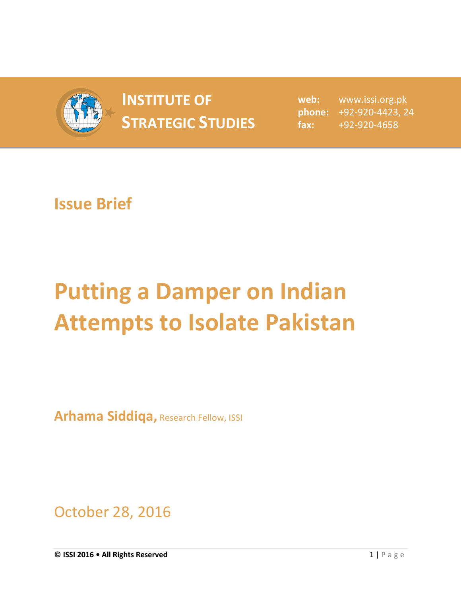

## **INSTITUTE OF STRATEGIC STUDIES**  $\begin{bmatrix} 1 & 1 \\ 1 & 2 \end{bmatrix}$

**web:** www.issi.org.pk **phone:** +92-920-4423, 24 **fax:** +92-920-4658

## **Issue Brief**

## **Putting a Damper on Indian Attempts to Isolate Pakistan**

**Arhama Siddiqa,** Research Fellow, ISSI

October 28, 2016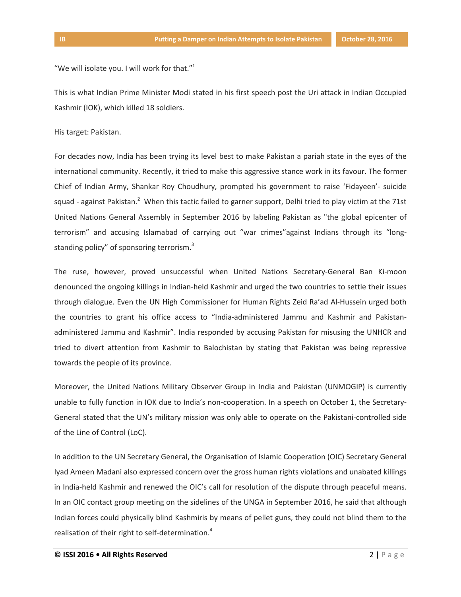"We will isolate you. I will work for that." $1$ 

This is what Indian Prime Minister Modi stated in his first speech post the Uri attack in Indian Occupied Kashmir (IOK), which killed 18 soldiers.

His target: Pakistan.

For decades now, India has been trying its level best to make Pakistan a pariah state in the eyes of the international community. Recently, it tried to make this aggressive stance work in its favour. The former Chief of Indian Army, Shankar Roy Choudhury, prompted his government to raise 'Fidayeen'- suicide squad - against Pakistan.<sup>2</sup> When this tactic failed to garner support, Delhi tried to play victim at the 71st United Nations General Assembly in September 2016 by labeling Pakistan as "the global epicenter of terrorism" and accusing Islamabad of carrying out "war crimes"against Indians through its "longstanding policy" of sponsoring terrorism.<sup>3</sup>

The ruse, however, proved unsuccessful when United Nations Secretary-General Ban Ki-moon denounced the ongoing killings in Indian-held Kashmir and urged the two countries to settle their issues through dialogue. Even the UN High Commissioner for Human Rights Zeid Ra'ad Al-Hussein urged both the countries to grant his office access to "India-administered Jammu and Kashmir and Pakistanadministered Jammu and Kashmir". India responded by accusing Pakistan for misusing the UNHCR and tried to divert attention from Kashmir to Balochistan by stating that Pakistan was being repressive towards the people of its province.

Moreover, the United Nations Military Observer Group in India and Pakistan (UNMOGIP) is currently unable to fully function in IOK due to India's non-cooperation. In a speech on October 1, the Secretary-General stated that the UN's military mission was only able to operate on the Pakistani-controlled side of the Line of Control (LoC).

In addition to the UN Secretary General, the Organisation of Islamic Cooperation (OIC) Secretary General Iyad Ameen Madani also expressed concern over the gross human rights violations and unabated killings in India-held Kashmir and renewed the OIC's call for resolution of the dispute through peaceful means. In an OIC contact group meeting on the sidelines of the UNGA in September 2016, he said that although Indian forces could physically blind Kashmiris by means of pellet guns, they could not blind them to the realisation of their right to self-determination.<sup>4</sup>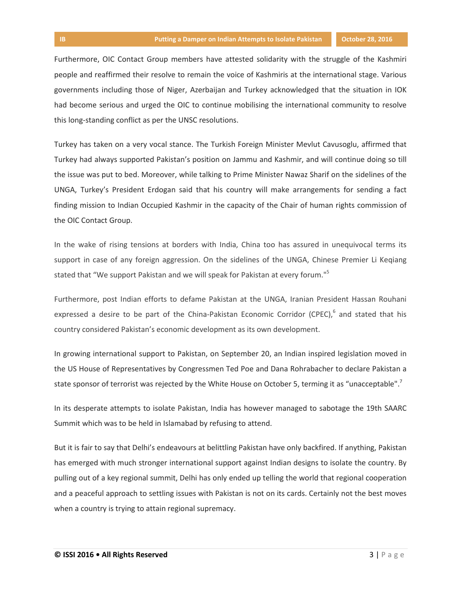Furthermore, OIC Contact Group members have attested solidarity with the struggle of the Kashmiri people and reaffirmed their resolve to remain the voice of Kashmiris at the international stage. Various governments including those of Niger, Azerbaijan and Turkey acknowledged that the situation in IOK had become serious and urged the OIC to continue mobilising the international community to resolve this long-standing conflict as per the UNSC resolutions.

Turkey has taken on a very vocal stance. The Turkish Foreign Minister Mevlut Cavusoglu, affirmed that Turkey had always supported Pakistan's position on Jammu and Kashmir, and will continue doing so till the issue was put to bed. Moreover, while talking to Prime Minister Nawaz Sharif on the sidelines of the UNGA, Turkey's President Erdogan said that his country will make arrangements for sending a fact finding mission to Indian Occupied Kashmir in the capacity of the Chair of human rights commission of the OIC Contact Group.

In the wake of rising tensions at borders with India, China too has assured in unequivocal terms its support in case of any foreign aggression. On the sidelines of the UNGA, Chinese Premier Li Keqiang stated that "We support Pakistan and we will speak for Pakistan at every forum."<sup>5</sup>

Furthermore, post Indian efforts to defame Pakistan at the UNGA, Iranian President Hassan Rouhani expressed a desire to be part of the China-Pakistan Economic Corridor (CPEC),  $6$  and stated that his country considered Pakistan's economic development as its own development.

In growing international support to Pakistan, on September 20, an Indian inspired legislation moved in the US House of Representatives by Congressmen Ted Poe and Dana Rohrabacher to declare Pakistan a state sponsor of terrorist was rejected by the White House on October 5, terming it as "unacceptable".<sup>7</sup>

In its desperate attempts to isolate Pakistan, India has however managed to sabotage the 19th SAARC Summit which was to be held in Islamabad by refusing to attend.

But it is fair to say that Delhi's endeavours at belittling Pakistan have only backfired. If anything, Pakistan has emerged with much stronger international support against Indian designs to isolate the country. By pulling out of a key regional summit, Delhi has only ended up telling the world that regional cooperation and a peaceful approach to settling issues with Pakistan is not on its cards. Certainly not the best moves when a country is trying to attain regional supremacy.